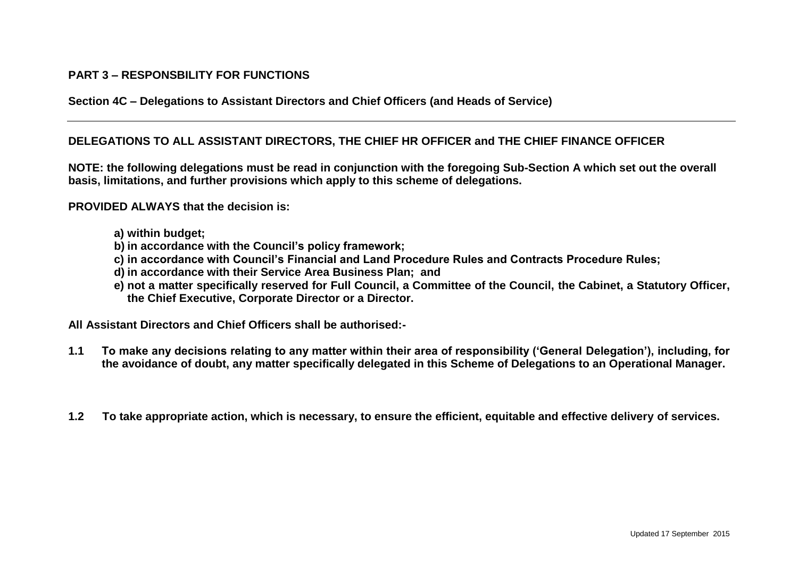## **PART 3 – RESPONSBILITY FOR FUNCTIONS**

**Section 4C – Delegations to Assistant Directors and Chief Officers (and Heads of Service)**

## **DELEGATIONS TO ALL ASSISTANT DIRECTORS, THE CHIEF HR OFFICER and THE CHIEF FINANCE OFFICER**

**NOTE: the following delegations must be read in conjunction with the foregoing Sub-Section A which set out the overall basis, limitations, and further provisions which apply to this scheme of delegations.**

## **PROVIDED ALWAYS that the decision is:**

- **a) within budget;**
- **b) in accordance with the Council's policy framework;**
- **c) in accordance with Council's Financial and Land Procedure Rules and Contracts Procedure Rules;**
- **d) in accordance with their Service Area Business Plan; and**
- **e) not a matter specifically reserved for Full Council, a Committee of the Council, the Cabinet, a Statutory Officer, the Chief Executive, Corporate Director or a Director.**

**All Assistant Directors and Chief Officers shall be authorised:-**

- **1.1 To make any decisions relating to any matter within their area of responsibility ('General Delegation'), including, for the avoidance of doubt, any matter specifically delegated in this Scheme of Delegations to an Operational Manager.**
- **1.2 To take appropriate action, which is necessary, to ensure the efficient, equitable and effective delivery of services.**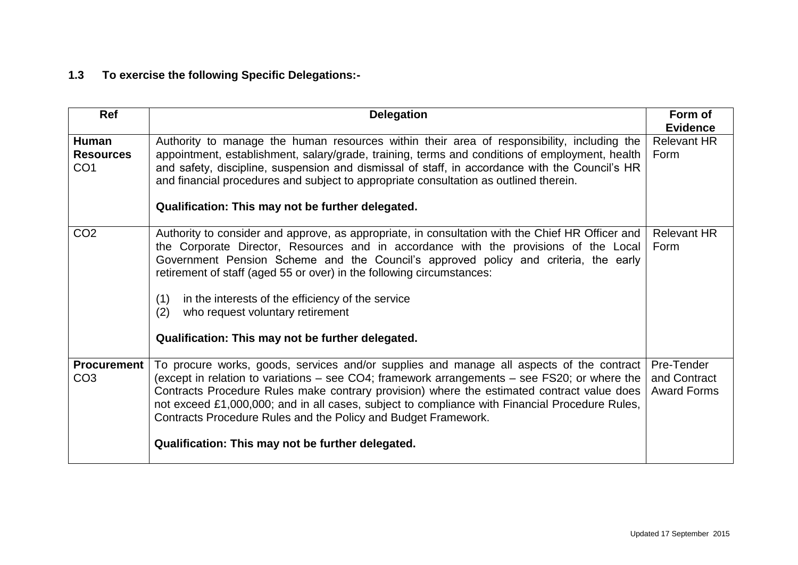## **1.3 To exercise the following Specific Delegations:-**

| Ref                                                 | <b>Delegation</b>                                                                                                                                                                                                                                                                                                                                                                                                                                                                                                    | Form of<br><b>Evidence</b>                       |
|-----------------------------------------------------|----------------------------------------------------------------------------------------------------------------------------------------------------------------------------------------------------------------------------------------------------------------------------------------------------------------------------------------------------------------------------------------------------------------------------------------------------------------------------------------------------------------------|--------------------------------------------------|
| <b>Human</b><br><b>Resources</b><br>CO <sub>1</sub> | Authority to manage the human resources within their area of responsibility, including the<br>appointment, establishment, salary/grade, training, terms and conditions of employment, health<br>and safety, discipline, suspension and dismissal of staff, in accordance with the Council's HR<br>and financial procedures and subject to appropriate consultation as outlined therein.<br>Qualification: This may not be further delegated.                                                                         | <b>Relevant HR</b><br>Form                       |
| CO <sub>2</sub>                                     | Authority to consider and approve, as appropriate, in consultation with the Chief HR Officer and<br>the Corporate Director, Resources and in accordance with the provisions of the Local<br>Government Pension Scheme and the Council's approved policy and criteria, the early<br>retirement of staff (aged 55 or over) in the following circumstances:<br>(1)<br>in the interests of the efficiency of the service<br>(2)<br>who request voluntary retirement<br>Qualification: This may not be further delegated. | <b>Relevant HR</b><br>Form                       |
| <b>Procurement</b><br>CO <sub>3</sub>               | To procure works, goods, services and/or supplies and manage all aspects of the contract<br>(except in relation to variations – see CO4; framework arrangements – see FS20; or where the<br>Contracts Procedure Rules make contrary provision) where the estimated contract value does<br>not exceed £1,000,000; and in all cases, subject to compliance with Financial Procedure Rules,<br>Contracts Procedure Rules and the Policy and Budget Framework.<br>Qualification: This may not be further delegated.      | Pre-Tender<br>and Contract<br><b>Award Forms</b> |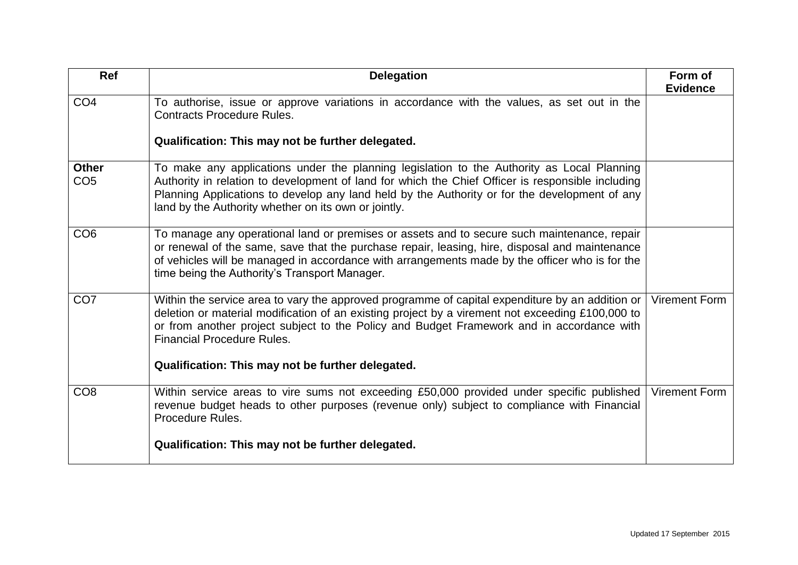| Ref                             | <b>Delegation</b>                                                                                                                                                                                                                                                                                                                                        | Form of<br><b>Evidence</b> |
|---------------------------------|----------------------------------------------------------------------------------------------------------------------------------------------------------------------------------------------------------------------------------------------------------------------------------------------------------------------------------------------------------|----------------------------|
| CO <sub>4</sub>                 | To authorise, issue or approve variations in accordance with the values, as set out in the<br><b>Contracts Procedure Rules.</b>                                                                                                                                                                                                                          |                            |
|                                 | Qualification: This may not be further delegated.                                                                                                                                                                                                                                                                                                        |                            |
| <b>Other</b><br>CO <sub>5</sub> | To make any applications under the planning legislation to the Authority as Local Planning<br>Authority in relation to development of land for which the Chief Officer is responsible including<br>Planning Applications to develop any land held by the Authority or for the development of any<br>land by the Authority whether on its own or jointly. |                            |
| CO <sub>6</sub>                 | To manage any operational land or premises or assets and to secure such maintenance, repair<br>or renewal of the same, save that the purchase repair, leasing, hire, disposal and maintenance<br>of vehicles will be managed in accordance with arrangements made by the officer who is for the<br>time being the Authority's Transport Manager.         |                            |
| CO <sub>7</sub>                 | Within the service area to vary the approved programme of capital expenditure by an addition or  <br>deletion or material modification of an existing project by a virement not exceeding £100,000 to<br>or from another project subject to the Policy and Budget Framework and in accordance with<br><b>Financial Procedure Rules.</b>                  | <b>Virement Form</b>       |
|                                 | Qualification: This may not be further delegated.                                                                                                                                                                                                                                                                                                        |                            |
| CO <sub>8</sub>                 | Within service areas to vire sums not exceeding £50,000 provided under specific published<br>revenue budget heads to other purposes (revenue only) subject to compliance with Financial<br>Procedure Rules.                                                                                                                                              | <b>Virement Form</b>       |
|                                 | Qualification: This may not be further delegated.                                                                                                                                                                                                                                                                                                        |                            |